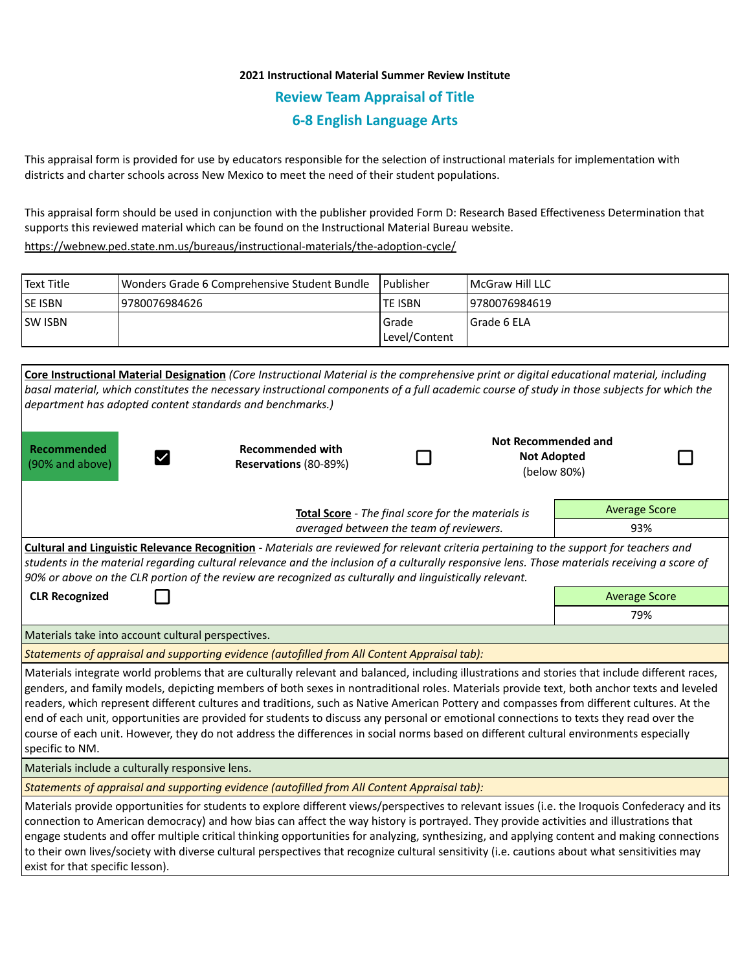## **2021 Instructional Material Summer Review Institute Review Team Appraisal of Title 6-8 English Language Arts**

This appraisal form is provided for use by educators responsible for the selection of instructional materials for implementation with districts and charter schools across New Mexico to meet the need of their student populations.

This appraisal form should be used in conjunction with the publisher provided Form D: Research Based Effectiveness Determination that supports this reviewed material which can be found on the Instructional Material Bureau website.

<https://webnew.ped.state.nm.us/bureaus/instructional-materials/the-adoption-cycle/>

| Text Title     | Wonders Grade 6 Comprehensive Student Bundle | l Publisher   | <b>IMcGraw Hill LLC</b> |
|----------------|----------------------------------------------|---------------|-------------------------|
| <b>SE ISBN</b> | 9780076984626                                | lte ISBN      | 19780076984619          |
| <b>SW ISBN</b> |                                              | l Grade       | l Grade 6 ELA           |
|                |                                              | Level/Content |                         |

| Core Instructional Material Designation (Core Instructional Material is the comprehensive print or digital educational material, including<br>basal material, which constitutes the necessary instructional components of a full academic course of study in those subjects for which the<br>department has adopted content standards and benchmarks.)                                                                                                                                                                                                                                                                                                                                                                                           |                                                  |     |  |                                                                 |  |  |  |  |
|--------------------------------------------------------------------------------------------------------------------------------------------------------------------------------------------------------------------------------------------------------------------------------------------------------------------------------------------------------------------------------------------------------------------------------------------------------------------------------------------------------------------------------------------------------------------------------------------------------------------------------------------------------------------------------------------------------------------------------------------------|--------------------------------------------------|-----|--|-----------------------------------------------------------------|--|--|--|--|
| Recommended<br>(90% and above)                                                                                                                                                                                                                                                                                                                                                                                                                                                                                                                                                                                                                                                                                                                   | <b>Recommended with</b><br>Reservations (80-89%) |     |  | <b>Not Recommended and</b><br><b>Not Adopted</b><br>(below 80%) |  |  |  |  |
| <b>Average Score</b><br>Total Score - The final score for the materials is                                                                                                                                                                                                                                                                                                                                                                                                                                                                                                                                                                                                                                                                       |                                                  |     |  |                                                                 |  |  |  |  |
| averaged between the team of reviewers.                                                                                                                                                                                                                                                                                                                                                                                                                                                                                                                                                                                                                                                                                                          |                                                  |     |  | 93%                                                             |  |  |  |  |
| Cultural and Linguistic Relevance Recognition - Materials are reviewed for relevant criteria pertaining to the support for teachers and<br>students in the material regarding cultural relevance and the inclusion of a culturally responsive lens. Those materials receiving a score of<br>90% or above on the CLR portion of the review are recognized as culturally and linguistically relevant.                                                                                                                                                                                                                                                                                                                                              |                                                  |     |  |                                                                 |  |  |  |  |
| <b>CLR Recognized</b>                                                                                                                                                                                                                                                                                                                                                                                                                                                                                                                                                                                                                                                                                                                            |                                                  |     |  | <b>Average Score</b>                                            |  |  |  |  |
|                                                                                                                                                                                                                                                                                                                                                                                                                                                                                                                                                                                                                                                                                                                                                  |                                                  | 79% |  |                                                                 |  |  |  |  |
| Materials take into account cultural perspectives.                                                                                                                                                                                                                                                                                                                                                                                                                                                                                                                                                                                                                                                                                               |                                                  |     |  |                                                                 |  |  |  |  |
| Statements of appraisal and supporting evidence (autofilled from All Content Appraisal tab):                                                                                                                                                                                                                                                                                                                                                                                                                                                                                                                                                                                                                                                     |                                                  |     |  |                                                                 |  |  |  |  |
| Materials integrate world problems that are culturally relevant and balanced, including illustrations and stories that include different races,<br>genders, and family models, depicting members of both sexes in nontraditional roles. Materials provide text, both anchor texts and leveled<br>readers, which represent different cultures and traditions, such as Native American Pottery and compasses from different cultures. At the<br>end of each unit, opportunities are provided for students to discuss any personal or emotional connections to texts they read over the<br>course of each unit. However, they do not address the differences in social norms based on different cultural environments especially<br>specific to NM. |                                                  |     |  |                                                                 |  |  |  |  |
| Materials include a culturally responsive lens.                                                                                                                                                                                                                                                                                                                                                                                                                                                                                                                                                                                                                                                                                                  |                                                  |     |  |                                                                 |  |  |  |  |
| Statements of appraisal and supporting evidence (autofilled from All Content Appraisal tab):                                                                                                                                                                                                                                                                                                                                                                                                                                                                                                                                                                                                                                                     |                                                  |     |  |                                                                 |  |  |  |  |
| Materials provide opportunities for students to explore different views/perspectives to relevant issues (i.e. the Iroquois Confederacy and its<br>connection to American democracy) and how bias can affect the way history is portrayed. They provide activities and illustrations that<br>engage students and offer multiple critical thinking opportunities for analyzing, synthesizing, and applying content and making connections<br>to their own lives/society with diverse cultural perspectives that recognize cultural sensitivity (i.e. cautions about what sensitivities may<br>exist for that specific lesson).                                                                                                                     |                                                  |     |  |                                                                 |  |  |  |  |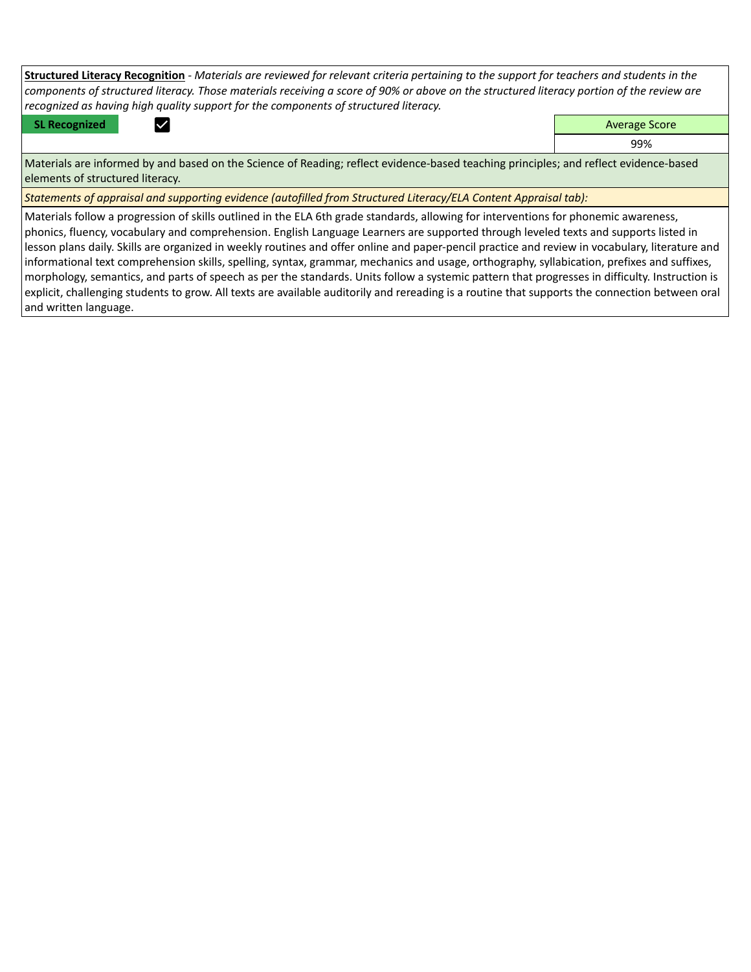**Structured Literacy Recognition** *- Materials are reviewed for relevant criteria pertaining to the support for teachers and students in the components of structured literacy. Those materials receiving a score of 90% or above on the structured literacy portion of the review are recognized as having high quality support for the components of structured literacy.*

**SL Recognized Contract Contract Contract Contract Contract Contract Contract Contract Contract Contract Contract Contract Contract Contract Contract Contract Contract Contract Contract Contract Contract Contract Contract** 

99%

Materials are informed by and based on the Science of Reading; reflect evidence-based teaching principles; and reflect evidence-based elements of structured literacy.

*Statements of appraisal and supporting evidence (autofilled from Structured Literacy/ELA Content Appraisal tab):* 

Materials follow a progression of skills outlined in the ELA 6th grade standards, allowing for interventions for phonemic awareness, phonics, fluency, vocabulary and comprehension. English Language Learners are supported through leveled texts and supports listed in lesson plans daily. Skills are organized in weekly routines and offer online and paper-pencil practice and review in vocabulary, literature and informational text comprehension skills, spelling, syntax, grammar, mechanics and usage, orthography, syllabication, prefixes and suffixes, morphology, semantics, and parts of speech as per the standards. Units follow a systemic pattern that progresses in difficulty. Instruction is explicit, challenging students to grow. All texts are available auditorily and rereading is a routine that supports the connection between oral and written language.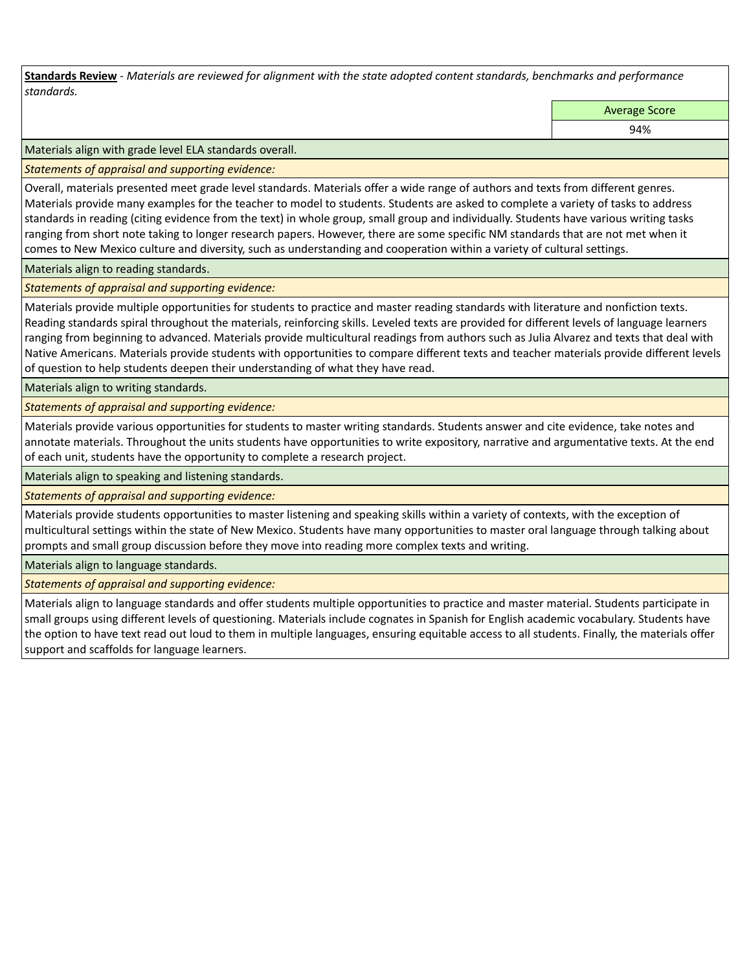**Standards Review** *- Materials are reviewed for alignment with the state adopted content standards, benchmarks and performance standards.*

Average Score

94%

Materials align with grade level ELA standards overall.

*Statements of appraisal and supporting evidence:* 

Overall, materials presented meet grade level standards. Materials offer a wide range of authors and texts from different genres. Materials provide many examples for the teacher to model to students. Students are asked to complete a variety of tasks to address standards in reading (citing evidence from the text) in whole group, small group and individually. Students have various writing tasks ranging from short note taking to longer research papers. However, there are some specific NM standards that are not met when it comes to New Mexico culture and diversity, such as understanding and cooperation within a variety of cultural settings.

Materials align to reading standards.

*Statements of appraisal and supporting evidence:* 

Materials provide multiple opportunities for students to practice and master reading standards with literature and nonfiction texts. Reading standards spiral throughout the materials, reinforcing skills. Leveled texts are provided for different levels of language learners ranging from beginning to advanced. Materials provide multicultural readings from authors such as Julia Alvarez and texts that deal with Native Americans. Materials provide students with opportunities to compare different texts and teacher materials provide different levels of question to help students deepen their understanding of what they have read.

Materials align to writing standards.

*Statements of appraisal and supporting evidence:* 

Materials provide various opportunities for students to master writing standards. Students answer and cite evidence, take notes and annotate materials. Throughout the units students have opportunities to write expository, narrative and argumentative texts. At the end of each unit, students have the opportunity to complete a research project.

Materials align to speaking and listening standards.

*Statements of appraisal and supporting evidence:* 

Materials provide students opportunities to master listening and speaking skills within a variety of contexts, with the exception of multicultural settings within the state of New Mexico. Students have many opportunities to master oral language through talking about prompts and small group discussion before they move into reading more complex texts and writing.

Materials align to language standards.

*Statements of appraisal and supporting evidence:* 

Materials align to language standards and offer students multiple opportunities to practice and master material. Students participate in small groups using different levels of questioning. Materials include cognates in Spanish for English academic vocabulary. Students have the option to have text read out loud to them in multiple languages, ensuring equitable access to all students. Finally, the materials offer support and scaffolds for language learners.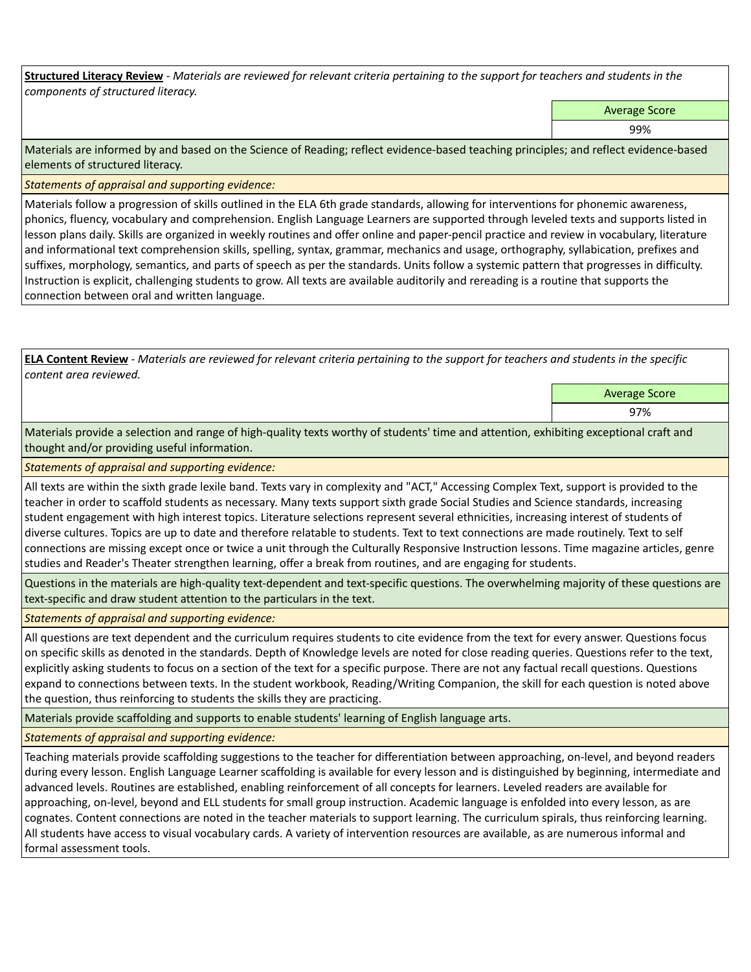**Structured Literacy Review** *- Materials are reviewed for relevant criteria pertaining to the support for teachers and students in the components of structured literacy.*

Average Score

99%

Materials are informed by and based on the Science of Reading; reflect evidence-based teaching principles; and reflect evidence-based elements of structured literacy.

*Statements of appraisal and supporting evidence:*

Materials follow a progression of skills outlined in the ELA 6th grade standards, allowing for interventions for phonemic awareness, phonics, fluency, vocabulary and comprehension. English Language Learners are supported through leveled texts and supports listed in lesson plans daily. Skills are organized in weekly routines and offer online and paper-pencil practice and review in vocabulary, literature and informational text comprehension skills, spelling, syntax, grammar, mechanics and usage, orthography, syllabication, prefixes and suffixes, morphology, semantics, and parts of speech as per the standards. Units follow a systemic pattern that progresses in difficulty. Instruction is explicit, challenging students to grow. All texts are available auditorily and rereading is a routine that supports the connection between oral and written language.

**ELA Content Review** *- Materials are reviewed for relevant criteria pertaining to the support for teachers and students in the specific content area reviewed.*

Average Score

97%

Materials provide a selection and range of high-quality texts worthy of students' time and attention, exhibiting exceptional craft and thought and/or providing useful information.

*Statements of appraisal and supporting evidence:* 

All texts are within the sixth grade lexile band. Texts vary in complexity and "ACT," Accessing Complex Text, support is provided to the teacher in order to scaffold students as necessary. Many texts support sixth grade Social Studies and Science standards, increasing student engagement with high interest topics. Literature selections represent several ethnicities, increasing interest of students of diverse cultures. Topics are up to date and therefore relatable to students. Text to text connections are made routinely. Text to self connections are missing except once or twice a unit through the Culturally Responsive Instruction lessons. Time magazine articles, genre studies and Reader's Theater strengthen learning, offer a break from routines, and are engaging for students.

Questions in the materials are high-quality text-dependent and text-specific questions. The overwhelming majority of these questions are text-specific and draw student attention to the particulars in the text.

*Statements of appraisal and supporting evidence:* 

All questions are text dependent and the curriculum requires students to cite evidence from the text for every answer. Questions focus on specific skills as denoted in the standards. Depth of Knowledge levels are noted for close reading queries. Questions refer to the text, explicitly asking students to focus on a section of the text for a specific purpose. There are not any factual recall questions. Questions expand to connections between texts. In the student workbook, Reading/Writing Companion, the skill for each question is noted above the question, thus reinforcing to students the skills they are practicing.

Materials provide scaffolding and supports to enable students' learning of English language arts.

*Statements of appraisal and supporting evidence:* 

Teaching materials provide scaffolding suggestions to the teacher for differentiation between approaching, on-level, and beyond readers during every lesson. English Language Learner scaffolding is available for every lesson and is distinguished by beginning, intermediate and advanced levels. Routines are established, enabling reinforcement of all concepts for learners. Leveled readers are available for approaching, on-level, beyond and ELL students for small group instruction. Academic language is enfolded into every lesson, as are cognates. Content connections are noted in the teacher materials to support learning. The curriculum spirals, thus reinforcing learning. All students have access to visual vocabulary cards. A variety of intervention resources are available, as are numerous informal and formal assessment tools.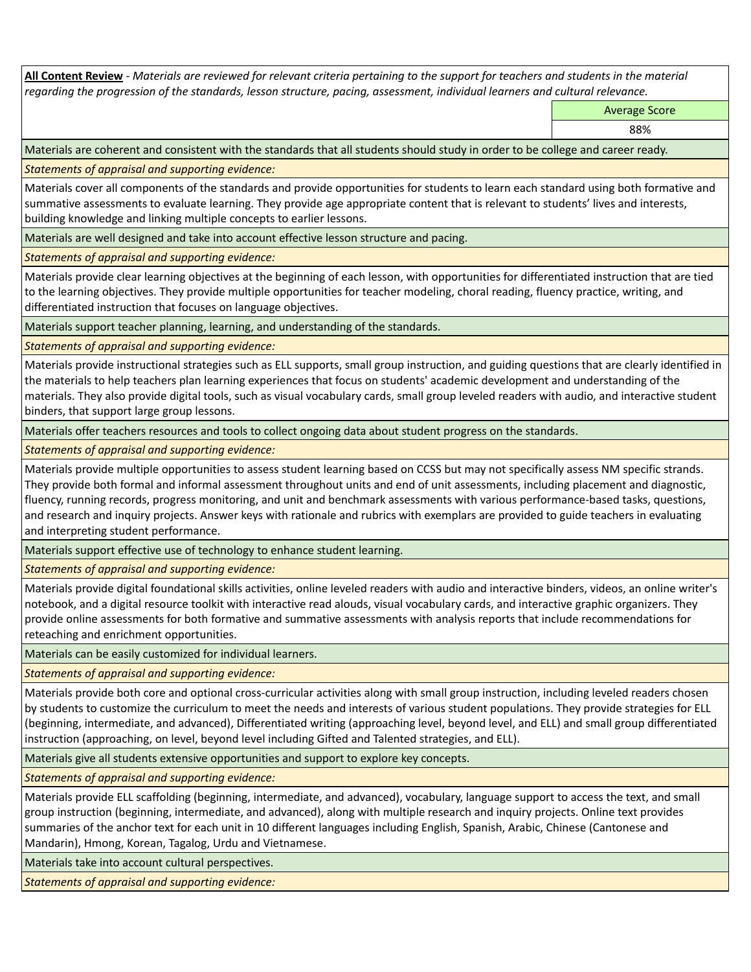**All Content Review** *- Materials are reviewed for relevant criteria pertaining to the support for teachers and students in the material regarding the progression of the standards, lesson structure, pacing, assessment, individual learners and cultural relevance.*

Average Score

88%

Materials are coherent and consistent with the standards that all students should study in order to be college and career ready.

*Statements of appraisal and supporting evidence:*

Materials cover all components of the standards and provide opportunities for students to learn each standard using both formative and summative assessments to evaluate learning. They provide age appropriate content that is relevant to students' lives and interests, building knowledge and linking multiple concepts to earlier lessons.

Materials are well designed and take into account effective lesson structure and pacing.

*Statements of appraisal and supporting evidence:*

Materials provide clear learning objectives at the beginning of each lesson, with opportunities for differentiated instruction that are tied to the learning objectives. They provide multiple opportunities for teacher modeling, choral reading, fluency practice, writing, and differentiated instruction that focuses on language objectives.

Materials support teacher planning, learning, and understanding of the standards.

*Statements of appraisal and supporting evidence:*

Materials provide instructional strategies such as ELL supports, small group instruction, and guiding questions that are clearly identified in the materials to help teachers plan learning experiences that focus on students' academic development and understanding of the materials. They also provide digital tools, such as visual vocabulary cards, small group leveled readers with audio, and interactive student binders, that support large group lessons.

Materials offer teachers resources and tools to collect ongoing data about student progress on the standards.

*Statements of appraisal and supporting evidence:*

Materials provide multiple opportunities to assess student learning based on CCSS but may not specifically assess NM specific strands. They provide both formal and informal assessment throughout units and end of unit assessments, including placement and diagnostic, fluency, running records, progress monitoring, and unit and benchmark assessments with various performance-based tasks, questions, and research and inquiry projects. Answer keys with rationale and rubrics with exemplars are provided to guide teachers in evaluating and interpreting student performance.

Materials support effective use of technology to enhance student learning.

*Statements of appraisal and supporting evidence:*

Materials provide digital foundational skills activities, online leveled readers with audio and interactive binders, videos, an online writer's notebook, and a digital resource toolkit with interactive read alouds, visual vocabulary cards, and interactive graphic organizers. They provide online assessments for both formative and summative assessments with analysis reports that include recommendations for reteaching and enrichment opportunities.

Materials can be easily customized for individual learners.

*Statements of appraisal and supporting evidence:* 

Materials provide both core and optional cross-curricular activities along with small group instruction, including leveled readers chosen by students to customize the curriculum to meet the needs and interests of various student populations. They provide strategies for ELL (beginning, intermediate, and advanced), Differentiated writing (approaching level, beyond level, and ELL) and small group differentiated instruction (approaching, on level, beyond level including Gifted and Talented strategies, and ELL).

Materials give all students extensive opportunities and support to explore key concepts.

*Statements of appraisal and supporting evidence:*

Materials provide ELL scaffolding (beginning, intermediate, and advanced), vocabulary, language support to access the text, and small group instruction (beginning, intermediate, and advanced), along with multiple research and inquiry projects. Online text provides summaries of the anchor text for each unit in 10 different languages including English, Spanish, Arabic, Chinese (Cantonese and Mandarin), Hmong, Korean, Tagalog, Urdu and Vietnamese.

Materials take into account cultural perspectives.

*Statements of appraisal and supporting evidence:*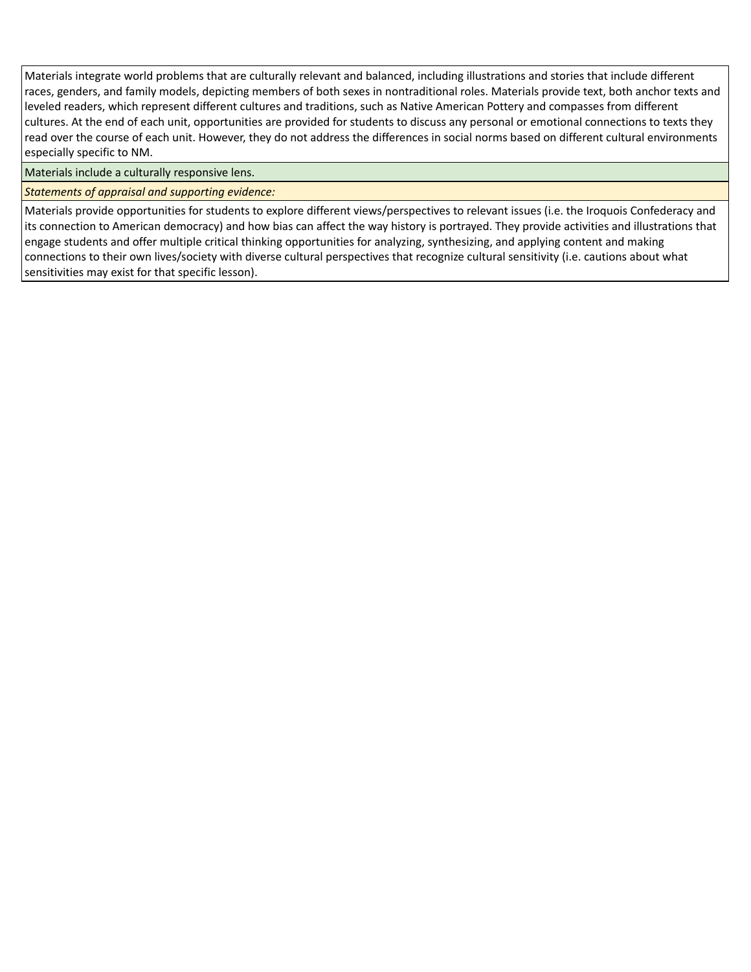Materials integrate world problems that are culturally relevant and balanced, including illustrations and stories that include different races, genders, and family models, depicting members of both sexes in nontraditional roles. Materials provide text, both anchor texts and leveled readers, which represent different cultures and traditions, such as Native American Pottery and compasses from different cultures. At the end of each unit, opportunities are provided for students to discuss any personal or emotional connections to texts they read over the course of each unit. However, they do not address the differences in social norms based on different cultural environments especially specific to NM.

Materials include a culturally responsive lens.

*Statements of appraisal and supporting evidence:*

Materials provide opportunities for students to explore different views/perspectives to relevant issues (i.e. the Iroquois Confederacy and its connection to American democracy) and how bias can affect the way history is portrayed. They provide activities and illustrations that engage students and offer multiple critical thinking opportunities for analyzing, synthesizing, and applying content and making connections to their own lives/society with diverse cultural perspectives that recognize cultural sensitivity (i.e. cautions about what sensitivities may exist for that specific lesson).